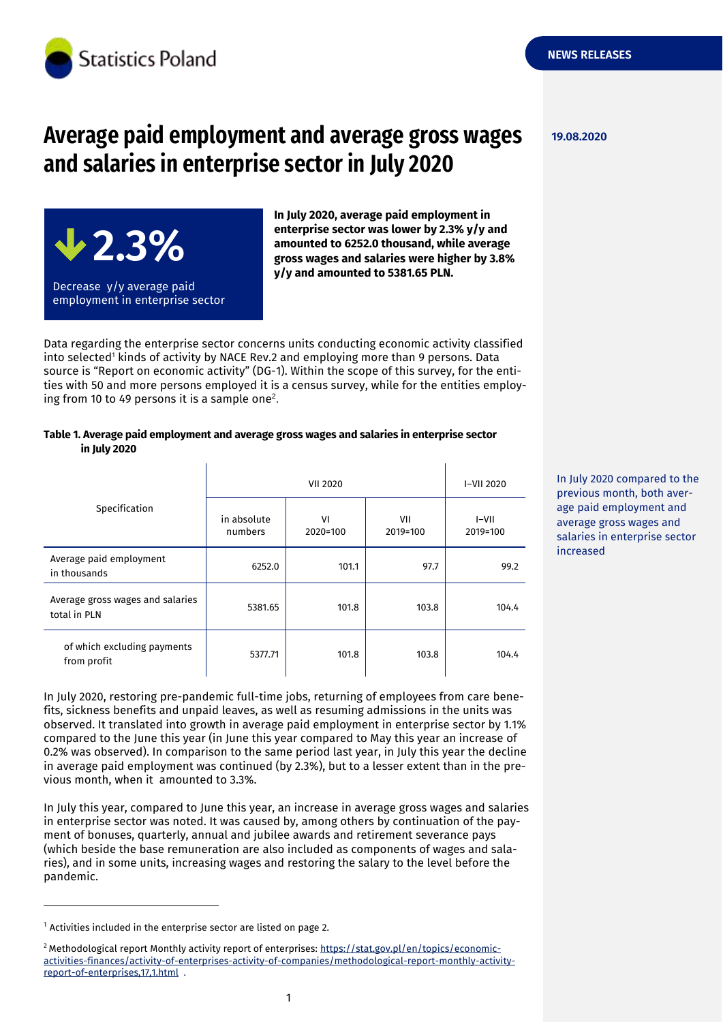

# **Average paid employment and average gross wages and salaries in enterprise sector in July 2020**



**In July 2020, average paid employment in enterprise sector was lower by 2.3% y/y and amounted to 6252.0 thousand, while average gross wages and salaries were higher by 3.8% y/y and amounted to 5381.65 PLN.**

Data regarding the enterprise sector concerns units conducting economic activity classified into selected<sup>1</sup> kinds of activity by NACE Rev.2 and employing more than 9 persons. Data source is "Report on economic activity" (DG-1). Within the scope of this survey, for the entities with 50 and more persons employed it is a census survey, while for the entities employing from 10 to 49 persons it is a sample one<sup>2</sup>.

### **Table 1. Average paid employment and average gross wages and salaries in enterprise sector in July 2020**

| Specification                                    | <b>VII 2020</b>        |                |                 | I-VII 2020        |
|--------------------------------------------------|------------------------|----------------|-----------------|-------------------|
|                                                  | in absolute<br>numbers | VI<br>2020=100 | VII<br>2019=100 | I-VII<br>2019=100 |
| Average paid employment<br>in thousands          | 6252.0                 | 101.1          | 97.7            | 99.2              |
| Average gross wages and salaries<br>total in PLN | 5381.65                | 101.8          | 103.8           | 104.4             |
| of which excluding payments<br>from profit       | 5377.71                | 101.8          | 103.8           | 104.4             |

In July 2020, restoring pre-pandemic full-time jobs, returning of employees from care benefits, sickness benefits and unpaid leaves, as well as resuming admissions in the units was observed. It translated into growth in average paid employment in enterprise sector by 1.1% compared to the June this year (in June this year compared to May this year an increase of 0.2% was observed). In comparison to the same period last year, in July this year the decline in average paid employment was continued (by 2.3%), but to a lesser extent than in the previous month, when it amounted to 3.3%.

In July this year, compared to June this year, an increase in average gross wages and salaries in enterprise sector was noted. It was caused by, among others by continuation of the payment of bonuses, quarterly, annual and jubilee awards and retirement severance pays (which beside the base remuneration are also included as components of wages and salaries), and in some units, increasing wages and restoring the salary to the level before the pandemic.

-

In July 2020 compared to the previous month, both average paid employment and average gross wages and salaries in enterprise sector increased

**NEWS RELEASES**

 $1$  Activities included in the enterprise sector are listed on page 2.

<sup>&</sup>lt;sup>2</sup> Methodological report Monthly activity report of enterprises: [https://stat.gov.pl/en/topics/economic](https://stat.gov.pl/en/topics/economic-activities-finances/activity-of-enterprises-activity-of-companies/methodological-report-monthly-activity-report-of-enterprises,17,1.html)[activities-finances/activity-of-enterprises-activity-of-companies/methodological-report-monthly-activity](https://stat.gov.pl/en/topics/economic-activities-finances/activity-of-enterprises-activity-of-companies/methodological-report-monthly-activity-report-of-enterprises,17,1.html)[report-of-enterprises,17,1.html](https://stat.gov.pl/en/topics/economic-activities-finances/activity-of-enterprises-activity-of-companies/methodological-report-monthly-activity-report-of-enterprises,17,1.html) .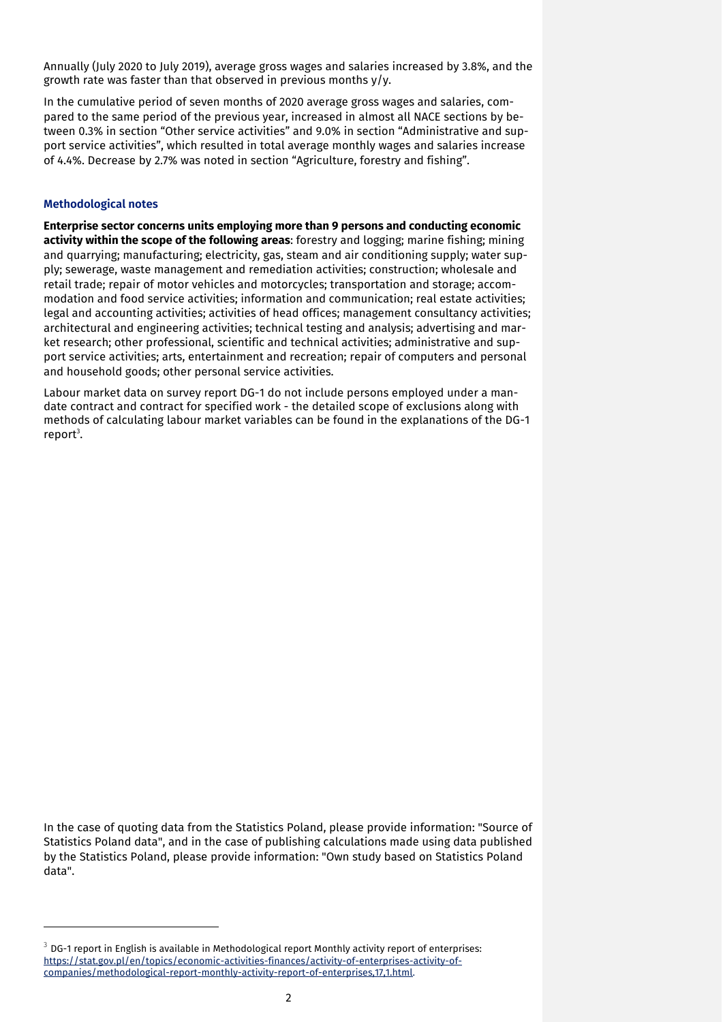Annually (July 2020 to July 2019), average gross wages and salaries increased by 3.8%, and the growth rate was faster than that observed in previous months y/y.

In the cumulative period of seven months of 2020 average gross wages and salaries, compared to the same period of the previous year, increased in almost all NACE sections by between 0.3% in section "Other service activities" and 9.0% in section "Administrative and support service activities", which resulted in total average monthly wages and salaries increase of 4.4%. Decrease by 2.7% was noted in section "Agriculture, forestry and fishing".

#### **Methodological notes**

-

**Enterprise sector concerns units employing more than 9 persons and conducting economic activity within the scope of the following areas**: forestry and logging; marine fishing; mining and quarrying; manufacturing; electricity, gas, steam and air conditioning supply; water supply; sewerage, waste management and remediation activities; construction; wholesale and retail trade; repair of motor vehicles and motorcycles; transportation and storage; accommodation and food service activities; information and communication; real estate activities; legal and accounting activities; activities of head offices; management consultancy activities; architectural and engineering activities; technical testing and analysis; advertising and market research; other professional, scientific and technical activities; administrative and support service activities; arts, entertainment and recreation; repair of computers and personal and household goods; other personal service activities.

Labour market data on survey report DG-1 do not include persons employed under a mandate contract and contract for specified work - the detailed scope of exclusions along with methods of calculating labour market variables can be found in the explanations of the DG-1 report<sup>3</sup>.

In the case of quoting data from the Statistics Poland, please provide information: "Source of Statistics Poland data", and in the case of publishing calculations made using data published by the Statistics Poland, please provide information: "Own study based on Statistics Poland data".

 $3$  DG-1 report in English is available in Methodological report Monthly activity report of enterprises: [https://stat.gov.pl/en/topics/economic-activities-finances/activity-of-enterprises-activity-of](https://stat.gov.pl/en/topics/economic-activities-finances/activity-of-enterprises-activity-of-companies/methodological-report-monthly-activity-report-of-enterprises,17,1.html)[companies/methodological-report-monthly-activity-report-of-enterprises,17,1.html.](https://stat.gov.pl/en/topics/economic-activities-finances/activity-of-enterprises-activity-of-companies/methodological-report-monthly-activity-report-of-enterprises,17,1.html)